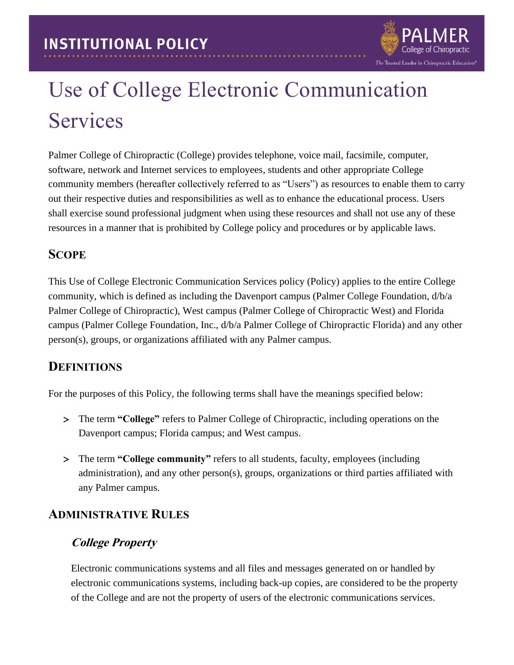

# Use of College Electronic Communication Services

Palmer College of Chiropractic (College) provides telephone, voice mail, facsimile, computer, software, network and Internet services to employees, students and other appropriate College community members (hereafter collectively referred to as "Users") as resources to enable them to carry out their respective duties and responsibilities as well as to enhance the educational process. Users shall exercise sound professional judgment when using these resources and shall not use any of these resources in a manner that is prohibited by College policy and procedures or by applicable laws.

## **SCOPE**

This Use of College Electronic Communication Services policy (Policy) applies to the entire College community, which is defined as including the Davenport campus (Palmer College Foundation, d/b/a Palmer College of Chiropractic), West campus (Palmer College of Chiropractic West) and Florida campus (Palmer College Foundation, Inc., d/b/a Palmer College of Chiropractic Florida) and any other person(s), groups, or organizations affiliated with any Palmer campus.

## **DEFINITIONS**

For the purposes of this Policy, the following terms shall have the meanings specified below:

- The term **"College"** refers to Palmer College of Chiropractic, including operations on the Davenport campus; Florida campus; and West campus.
- The term **"College community"** refers to all students, faculty, employees (including administration), and any other person(s), groups, organizations or third parties affiliated with any Palmer campus.

## **ADMINISTRATIVE RULES**

## **College Property**

Electronic communications systems and all files and messages generated on or handled by electronic communications systems, including back-up copies, are considered to be the property of the College and are not the property of users of the electronic communications services.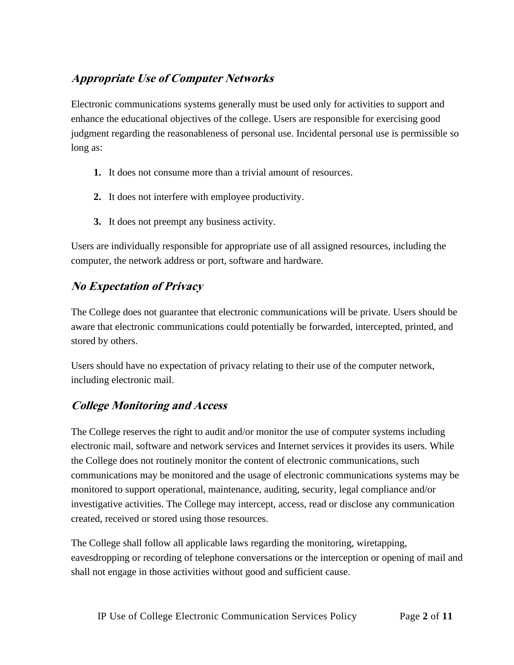# **Appropriate Use of Computer Networks**

Electronic communications systems generally must be used only for activities to support and enhance the educational objectives of the college. Users are responsible for exercising good judgment regarding the reasonableness of personal use. Incidental personal use is permissible so long as:

- **1.** It does not consume more than a trivial amount of resources.
- **2.** It does not interfere with employee productivity.
- **3.** It does not preempt any business activity.

Users are individually responsible for appropriate use of all assigned resources, including the computer, the network address or port, software and hardware.

# **No Expectation of Privacy**

The College does not guarantee that electronic communications will be private. Users should be aware that electronic communications could potentially be forwarded, intercepted, printed, and stored by others.

Users should have no expectation of privacy relating to their use of the computer network, including electronic mail.

# **College Monitoring and Access**

The College reserves the right to audit and/or monitor the use of computer systems including electronic mail, software and network services and Internet services it provides its users. While the College does not routinely monitor the content of electronic communications, such communications may be monitored and the usage of electronic communications systems may be monitored to support operational, maintenance, auditing, security, legal compliance and/or investigative activities. The College may intercept, access, read or disclose any communication created, received or stored using those resources.

The College shall follow all applicable laws regarding the monitoring, wiretapping, eavesdropping or recording of telephone conversations or the interception or opening of mail and shall not engage in those activities without good and sufficient cause.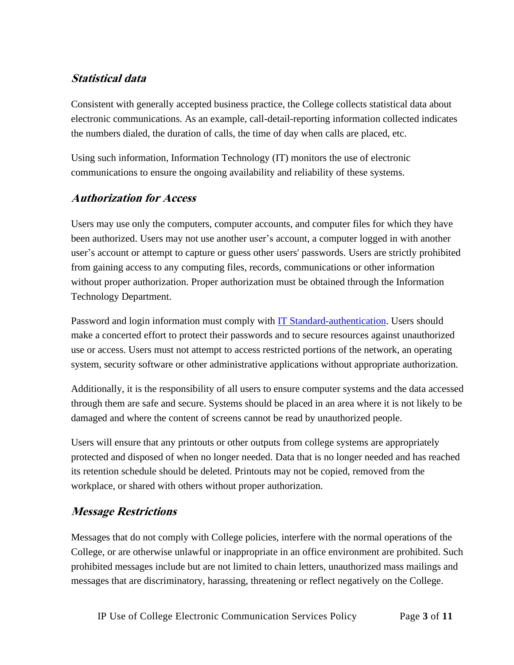## **Statistical data**

Consistent with generally accepted business practice, the College collects statistical data about electronic communications. As an example, call-detail-reporting information collected indicates the numbers dialed, the duration of calls, the time of day when calls are placed, etc.

Using such information, Information Technology (IT) monitors the use of electronic communications to ensure the ongoing availability and reliability of these systems.

#### **Authorization for Access**

Users may use only the computers, computer accounts, and computer files for which they have been authorized. Users may not use another user's account, a computer logged in with another user's account or attempt to capture or guess other users' passwords. Users are strictly prohibited from gaining access to any computing files, records, communications or other information without proper authorization. Proper authorization must be obtained through the Information Technology Department.

Password and login information must comply with [IT Standard-authentication.](#page-8-0) Users should make a concerted effort to protect their passwords and to secure resources against unauthorized use or access. Users must not attempt to access restricted portions of the network, an operating system, security software or other administrative applications without appropriate authorization.

Additionally, it is the responsibility of all users to ensure computer systems and the data accessed through them are safe and secure. Systems should be placed in an area where it is not likely to be damaged and where the content of screens cannot be read by unauthorized people.

Users will ensure that any printouts or other outputs from college systems are appropriately protected and disposed of when no longer needed. Data that is no longer needed and has reached its retention schedule should be deleted. Printouts may not be copied, removed from the workplace, or shared with others without proper authorization.

### **Message Restrictions**

Messages that do not comply with College policies, interfere with the normal operations of the College, or are otherwise unlawful or inappropriate in an office environment are prohibited. Such prohibited messages include but are not limited to chain letters, unauthorized mass mailings and messages that are discriminatory, harassing, threatening or reflect negatively on the College.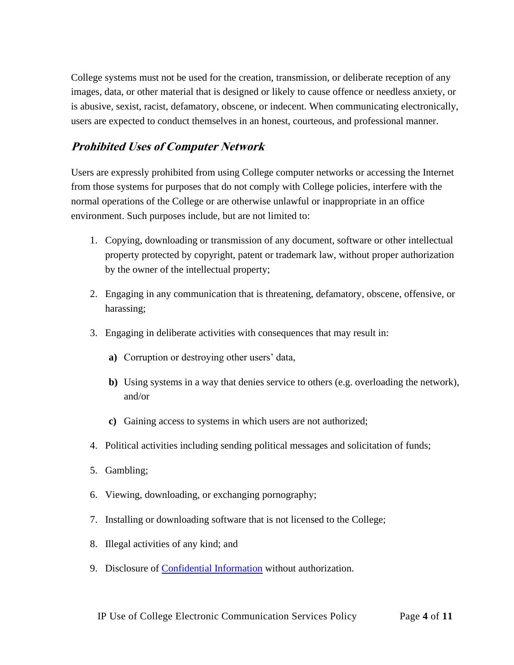College systems must not be used for the creation, transmission, or deliberate reception of any images, data, or other material that is designed or likely to cause offence or needless anxiety, or is abusive, sexist, racist, defamatory, obscene, or indecent. When communicating electronically, users are expected to conduct themselves in an honest, courteous, and professional manner.

## **Prohibited Uses of Computer Network**

Users are expressly prohibited from using College computer networks or accessing the Internet from those systems for purposes that do not comply with College policies, interfere with the normal operations of the College or are otherwise unlawful or inappropriate in an office environment. Such purposes include, but are not limited to:

- 1. Copying, downloading or transmission of any document, software or other intellectual property protected by copyright, patent or trademark law, without proper authorization by the owner of the intellectual property;
- 2. Engaging in any communication that is threatening, defamatory, obscene, offensive, or harassing;
- 3. Engaging in deliberate activities with consequences that may result in:
	- **a)** Corruption or destroying other users' data,
	- **b)** Using systems in a way that denies service to others (e.g. overloading the network), and/or
	- **c)** Gaining access to systems in which users are not authorized;
- 4. Political activities including sending political messages and solicitation of funds;
- 5. Gambling;
- 6. Viewing, downloading, or exchanging pornography;
- 7. Installing or downloading software that is not licensed to the College;
- 8. Illegal activities of any kind; and
- 9. Disclosure of [Confidential Information](#page-8-1) without authorization.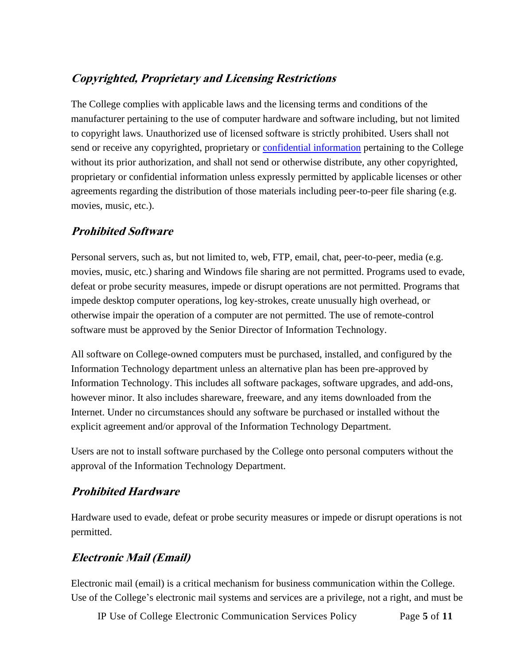# **Copyrighted, Proprietary and Licensing Restrictions**

The College complies with applicable laws and the licensing terms and conditions of the manufacturer pertaining to the use of computer hardware and software including, but not limited to copyright laws. Unauthorized use of licensed software is strictly prohibited. Users shall not send or receive any copyrighted, proprietary or **confidential information** pertaining to the College without its prior authorization, and shall not send or otherwise distribute, any other copyrighted, proprietary or confidential information unless expressly permitted by applicable licenses or other agreements regarding the distribution of those materials including peer-to-peer file sharing (e.g. movies, music, etc.).

## **Prohibited Software**

Personal servers, such as, but not limited to, web, FTP, email, chat, peer-to-peer, media (e.g. movies, music, etc.) sharing and Windows file sharing are not permitted. Programs used to evade, defeat or probe security measures, impede or disrupt operations are not permitted. Programs that impede desktop computer operations, log key-strokes, create unusually high overhead, or otherwise impair the operation of a computer are not permitted. The use of remote-control software must be approved by the Senior Director of Information Technology.

All software on College-owned computers must be purchased, installed, and configured by the Information Technology department unless an alternative plan has been pre-approved by Information Technology. This includes all software packages, software upgrades, and add-ons, however minor. It also includes shareware, freeware, and any items downloaded from the Internet. Under no circumstances should any software be purchased or installed without the explicit agreement and/or approval of the Information Technology Department.

Users are not to install software purchased by the College onto personal computers without the approval of the Information Technology Department.

### **Prohibited Hardware**

Hardware used to evade, defeat or probe security measures or impede or disrupt operations is not permitted.

### **Electronic Mail (Email)**

Electronic mail (email) is a critical mechanism for business communication within the College. Use of the College's electronic mail systems and services are a privilege, not a right, and must be

IP Use of College Electronic Communication Services Policy Page **5** of **11**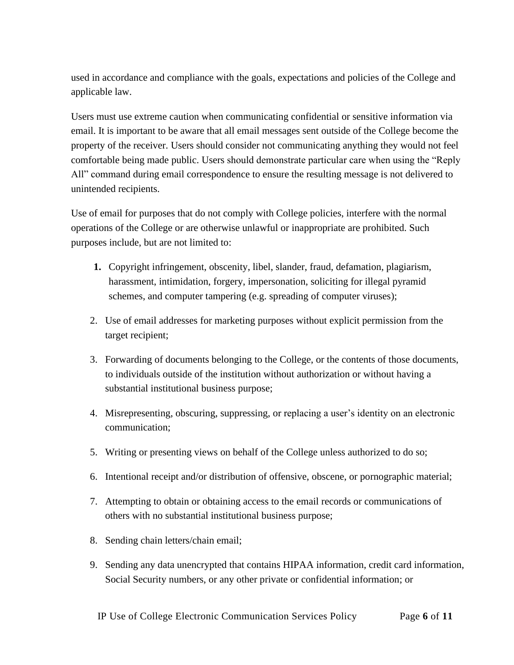used in accordance and compliance with the goals, expectations and policies of the College and applicable law.

Users must use extreme caution when communicating confidential or sensitive information via email. It is important to be aware that all email messages sent outside of the College become the property of the receiver. Users should consider not communicating anything they would not feel comfortable being made public. Users should demonstrate particular care when using the "Reply All" command during email correspondence to ensure the resulting message is not delivered to unintended recipients.

Use of email for purposes that do not comply with College policies, interfere with the normal operations of the College or are otherwise unlawful or inappropriate are prohibited. Such purposes include, but are not limited to:

- **1.** Copyright infringement, obscenity, libel, slander, fraud, defamation, plagiarism, harassment, intimidation, forgery, impersonation, soliciting for illegal pyramid schemes, and computer tampering (e.g. spreading of computer viruses);
- 2. Use of email addresses for marketing purposes without explicit permission from the target recipient;
- 3. Forwarding of documents belonging to the College, or the contents of those documents, to individuals outside of the institution without authorization or without having a substantial institutional business purpose;
- 4. Misrepresenting, obscuring, suppressing, or replacing a user's identity on an electronic communication;
- 5. Writing or presenting views on behalf of the College unless authorized to do so;
- 6. Intentional receipt and/or distribution of offensive, obscene, or pornographic material;
- 7. Attempting to obtain or obtaining access to the email records or communications of others with no substantial institutional business purpose;
- 8. Sending chain letters/chain email;
- 9. Sending any data unencrypted that contains HIPAA information, credit card information, Social Security numbers, or any other private or confidential information; or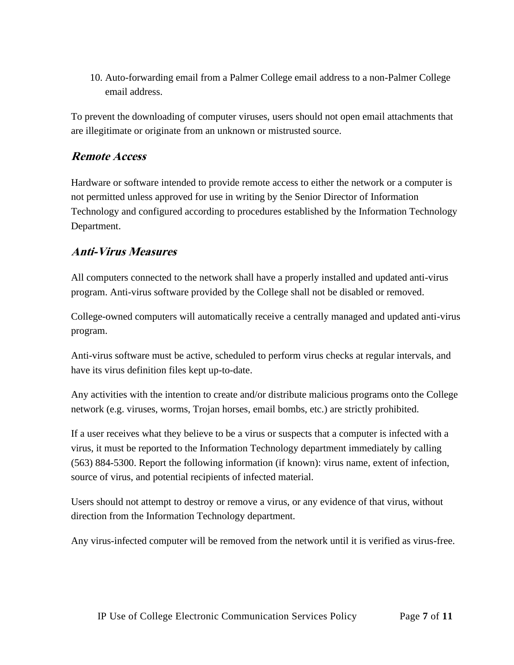10. Auto-forwarding email from a Palmer College email address to a non-Palmer College email address.

To prevent the downloading of computer viruses, users should not open email attachments that are illegitimate or originate from an unknown or mistrusted source.

### **Remote Access**

Hardware or software intended to provide remote access to either the network or a computer is not permitted unless approved for use in writing by the Senior Director of Information Technology and configured according to procedures established by the Information Technology Department.

#### **Anti-Virus Measures**

All computers connected to the network shall have a properly installed and updated anti-virus program. Anti-virus software provided by the College shall not be disabled or removed.

College-owned computers will automatically receive a centrally managed and updated anti-virus program.

Anti-virus software must be active, scheduled to perform virus checks at regular intervals, and have its virus definition files kept up-to-date.

Any activities with the intention to create and/or distribute malicious programs onto the College network (e.g. viruses, worms, Trojan horses, email bombs, etc.) are strictly prohibited.

If a user receives what they believe to be a virus or suspects that a computer is infected with a virus, it must be reported to the Information Technology department immediately by calling (563) 884-5300. Report the following information (if known): virus name, extent of infection, source of virus, and potential recipients of infected material.

Users should not attempt to destroy or remove a virus, or any evidence of that virus, without direction from the Information Technology department.

Any virus-infected computer will be removed from the network until it is verified as virus-free.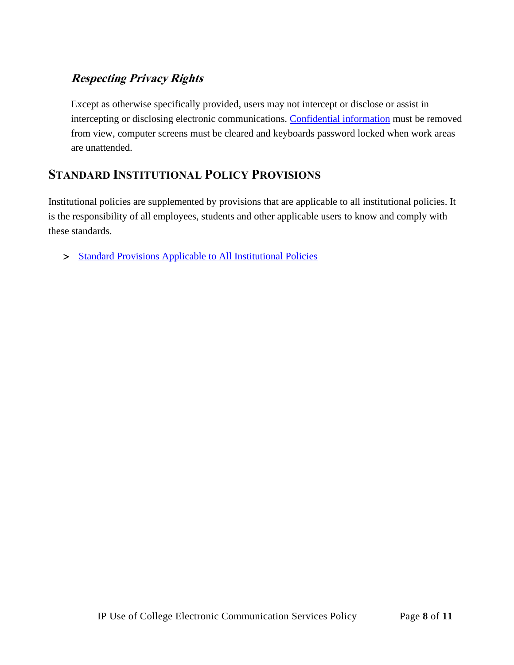# **Respecting Privacy Rights**

Except as otherwise specifically provided, users may not intercept or disclose or assist in intercepting or disclosing electronic communications. [Confidential information](#page-8-1) must be removed from view, computer screens must be cleared and keyboards password locked when work areas are unattended.

# **STANDARD INSTITUTIONAL POLICY PROVISIONS**

Institutional policies are supplemented by provisions that are applicable to all institutional policies. It is the responsibility of all employees, students and other applicable users to know and comply with these standards.

> [Standard Provisions Applicable to All Institutional Policies](http://www.palmer.edu/uploadedFiles/Pages/Students/Resources_and_Offices/Handbook_and_Policies/_pdf/Standard-Provisions-Applicable-to-All-Institutional-Policies.pdf)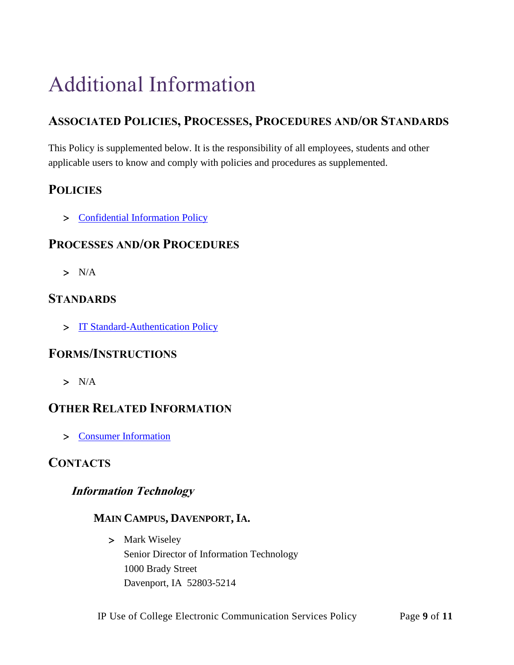# Additional Information

# **ASSOCIATED POLICIES, PROCESSES, PROCEDURES AND/OR STANDARDS**

This Policy is supplemented below. It is the responsibility of all employees, students and other applicable users to know and comply with policies and procedures as supplemented.

# <span id="page-8-1"></span>**POLICIES**

> [Confidential Information Policy](https://www.palmer.edu/getmedia/40c12bcc-b79e-41c2-855b-5422e1e6b4ad/ip-confidential-information.pdf)

## **PROCESSES AND/OR PROCEDURES**

 $> N/A$ 

## <span id="page-8-0"></span>**STANDARDS**

> [IT Standard-Authentication Policy](https://livepalmer.sharepoint.com/sites/Information-Technology/Shared%20Documents/Forms/AllItems.aspx?id=%2Fsites%2FInformation%2DTechnology%2FShared%20Documents%2FIT%20Standard%20%2D%20Authentication%2Epdf&parent=%2Fsites%2FInformation%2DTechnology%2FShared%20Documents)

## **FORMS/INSTRUCTIONS**

 $> N/A$ 

# **OTHER RELATED INFORMATION**

[Consumer Information](http://www.palmer.edu/uploadedFiles/Pages/Marketing/Publications/Official_College_Documents/Financial_Aid/consumer-Information.pdf)

## **CONTACTS**

### **Information Technology**

## **MAIN CAMPUS, DAVENPORT, IA.**

> Mark Wiseley Senior Director of Information Technology 1000 Brady Street Davenport, IA 52803-5214

IP Use of College Electronic Communication Services Policy Page **9** of **11**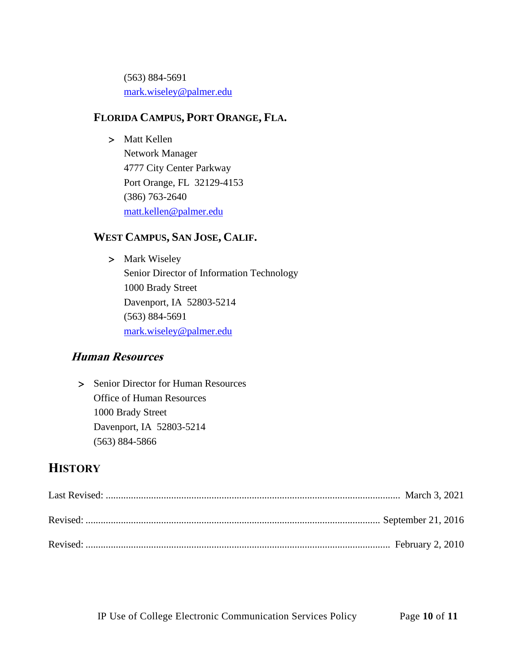(563) 884-5691 [mark.wiseley@palmer.edu](mailto:mark.wiseley@palmer.edu) 

#### **FLORIDA CAMPUS, PORT ORANGE, FLA.**

> Matt Kellen Network Manager 4777 City Center Parkway Port Orange, FL 32129-4153 (386) 763-2640 [matt.kellen@palmer.edu](mailto:matt.kellen@palmer.edu)

## **WEST CAMPUS, SAN JOSE, CALIF.**

> Mark Wiseley Senior Director of Information Technology 1000 Brady Street Davenport, IA 52803-5214 (563) 884-5691 [mark.wiseley@palmer.edu](mailto:mark.wiseley@palmer.edu) 

## **Human Resources**

> Senior Director for Human Resources Office of Human Resources 1000 Brady Street Davenport, IA 52803-5214 (563) 884-5866

# **HISTORY**